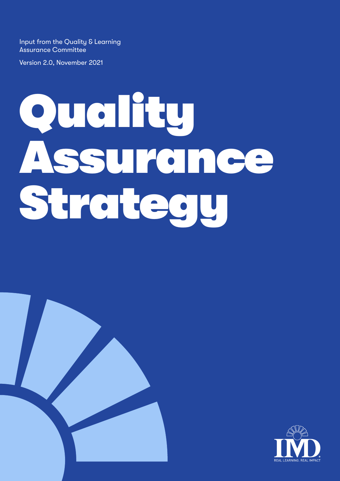Input from the Quality & Learning Assurance Committee

Version 2.0, November 2021

# Quality Assurance Strategy



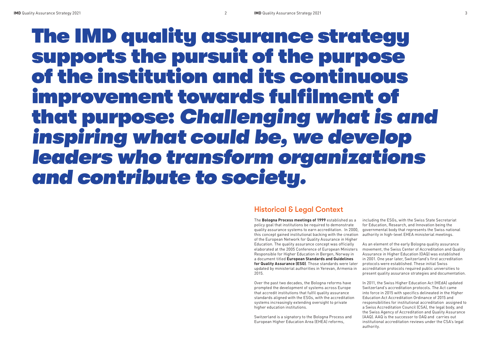### The IMD quality assurance strategy supports the pursuit of the purpose of the institution and its continuous improvement towards fulfilment of that purpose: *Challenging what is and inspiring what could be, we develop leaders who transform organizations and contribute to society.*

#### Historical & Legal Context

Over the past two decades, the Bologna reforms have prompted the development of systems across Europe that accredit institutions that fulfil quality assurance standards aligned with the ESGs, with the accreditation systems increasingly extending oversight to private higher education institutions.

The **Bologna Process meetings of 1999** established as a policy goal that institutions be required to demonstrate quality assurance systems to earn accreditation. In 2000, this concept gained institutional backing with the creation of the European Network for Quality Assurance in Higher Education. The quality assurance concept was officially elaborated at the 2005 Conference of European Ministers Responsible for Higher Education in Bergen, Norway in a document titled **European Standards and Guidelines for Quality Assurance (ESG)**. Those standards were later updated by ministerial authorities in Yerevan, Armenia in 2015. including the ESGs, with the Swiss State Secretariat for Education, Research, and Innovation being the governmental body that represents the Swiss national authority in high-level EHEA ministerial meetings. As an element of the early Bologna quality assurance movement, the Swiss Center of Accreditation and Quality Assurance in Higher Education (OAQ) was established in 2001. One year later, Switzerland's first accreditation protocols were established. These initial Swiss accreditation protocols required public universities to present quality assurance strategies and documentation.

Switzerland is a signatory to the Bologna Process and European Higher Education Area (EHEA) reforms,

In 2011, the Swiss Higher Education Act (HEdA) updated Switzerland's accreditation protocols. The Act came into force in 2015 with specifics delineated in the Higher Education Act Accreditation Ordinance of 2015 and responsibilities for institutional accreditation assigned to a Swiss Accreditation Council (CSA), the legal body, and the Swiss Agency of Accreditation and Quality Assurance (AAQ). AAQ is the successor to OAQ and carries out institutional accreditation reviews under the CSA's legal authority.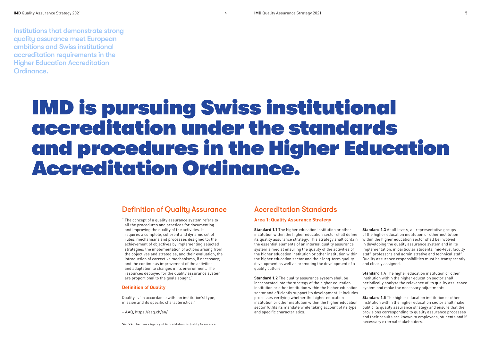## IMD is pursuing Swiss institutional accreditation under the standards and procedures in the Higher Education Accreditation Ordinance.

Institutions that demonstrate strong quality assurance meet European ambitions and Swiss institutional accreditation requirements in the Higher Education Accreditation Ordinance.

#### Accreditation Standards

#### **Area 1: Quality Assurance Strategy**

**Standard 1.1** The higher education institution or other institution within the higher education sector shall define its quality assurance strategy. This strategy shall contain the essential elements of an internal quality assurance system aimed at ensuring the quality of the activities of the higher education institution or other institution within the higher education sector and their long-term quality development as well as promoting the development of a quality culture. **Standard 1.3** At all levels, all representative groups of the higher education institution or other institution within the higher education sector shall be involved in developing the quality assurance system and in its implementation, in particular students, mid-level faculty staff, professors and administrative and technical staff. Quality assurance responsibilities must be transparently and clearly assigned.

**Standard 1.2** The quality assurance system shall be incorporated into the strategy of the higher education institution or other institution within the higher education sector and efficiently support its development. It includes processes verifying whether the higher education institution or other institution within the higher education sector fulfils its mandate while taking account of its type and specific characteristics.

**Standard 1.4** The higher education institution or other institution within the higher education sector shall periodically analyse the relevance of its quality assurance system and make the necessary adjustments.

**Standard 1.5** The higher education institution or other institution within the higher education sector shall make public its quality assurance strategy and ensure that the provisions corresponding to quality assurance processes and their results are known to employees, students and if necessary external stakeholders.

#### Definition of Quality Assurance

" The concept of a quality assurance system refers to all the procedures and practices for documenting and improving the quality of the activities. It requires a complete, coherent and dynamic set of rules, mechanisms and processes designed to: the achievement of objectives by implementing selected strategies; the implementation of actions arising from the objectives and strategies, and their evaluation; the introduction of corrective mechanisms, if necessary; and the continuous improvement of the activities and adaptation to changes in its environment. The resources deployed for the quality assurance system are proportional to the goals sought."

#### **Definition of Quality**

Quality is "in accordance with [an institution's] type, mission and its specific characteristics."

– AAQ, https://aaq.ch/en/

#### **Source**: The Swiss Agency of Accreditation & Quality Assurance

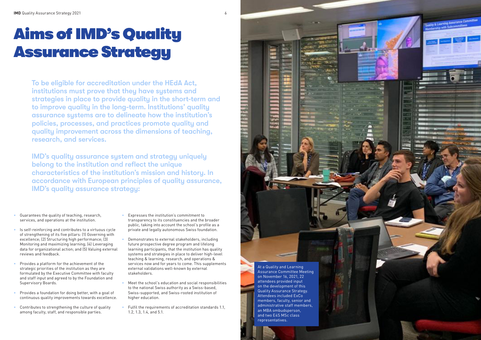

### Aims of IMD's Quality Assurance Strategy

To be eligible for accreditation under the HEdA Act, institutions must prove that they have systems and strategies in place to provide quality in the short-term and to improve quality in the long-term. Institutions' quality assurance systems are to delineate how the institution's policies, processes, and practices promote quality and quality improvement across the dimensions of teaching, research, and services.

- Guarantees the quality of teaching, research, services, and operations at the institution.
- Is self-reinforcing and contributes to a virtuous cycle of strengthening of its five pillars: (1) Governing with excellence; (2) Structuring high performance; (3) Monitoring and maximizing learning; (4) Leveraging data for organizational action; and (5) Valuing external reviews and feedback.
- Provides a platform for the achievement of the strategic priorities of the institution as they are formulated by the Executive Committee with faculty and staff input and agreed to by the Foundation and Supervisory Boards.
- Provides a foundation for doing better, with a goal of continuous quality improvements towards excellence.
- Contributes to strengthening the culture of quality among faculty, staff, and responsible parties.
- Expresses the institution's commitment to transparency to its constituencies and the broader public, taking into account the school's profile as a private and legally autonomous Swiss foundation.
- Demonstrates to external stakeholders, including future prospective degree program and lifelong learning participants, that the institution has quality systems and strategies in place to deliver high-level teaching & learning, research, and operations & services now and for years to come. This supplements external validations well-known by external stakeholders.
- Meet the school's education and social responsibilities to the national Swiss authority as a Swiss-based, Swiss-supported, and Swiss-rooted institution of higher education.
- Fulfil the requirements of accreditation standards 1.1, 1.2, 1.3, 1.4, and 5.1.

IMD's quality assurance system and strategy uniquely belong to the institution and reflect the unique characteristics of the institution's mission and history. In accordance with European principles of quality assurance, IMD's quality assurance strategy:

> At a Quality and Learning Assurance Committee Meeting on November 16, 2021, 22 attendees provided input on the development of this Quality Assurance Strategy. Attendees included ExCo members, faculty, senior and administrative staff members, an MBA ombudsperson, and two E4S MSc class representatives.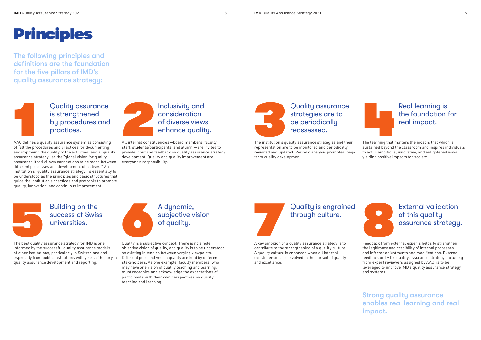









#### Quality assurance is strengthened by procedures and practices.

### The institution's q Quality assurance strategies are to be periodically reassessed.

#### Building on the success of Swiss universities.

#### Quality is engrained through culture.



### a and the learning that report of the learning that report of the learning that  $\mathbf{r}$ Real learning is the foundation for real impact.

### A dynamic, subjective vision of quality.

#### External validation of this quality assurance strategy.

The following principles and definitions are the foundation for the five pillars of IMD's quality assurance strategy:

> **1999**<br>A key ambition of A key ambition of a quality assurance strategy is to contribute to the strengthening of a quality culture. A quality culture is enhanced when all internal constituencies are involved in the pursuit of quality and excellence.

AAQ defines a quality assurance system as consisting of "all the procedures and practices for documenting and improving the quality of the activities" and a "quality assurance strategy" as the "global vision for quality assurance [that] allows connections to be made between different processes and development objectives." An institution's "quality assurance strategy" is essentially to be understood as the principles and basic structures that guide the institution's practices and protocols to promote quality, innovation, and continuous improvement.

The best quality assurance strategy for IMD is one informed by the successful quality assurance models of other institutions, particularly in Switzerland and especially from public institutions with years of history in quality assurance development and reporting.

The institution's quality assurance strategies and their representation are to be monitored and periodically revisited and updated. Periodic analysis promotes longterm quality development.

All internal constituencies—board members, faculty, staff, students/participants, and alumni—are invited to provide input and feedback on quality assurance strategy development. Quality and quality improvement are everyone's responsibility.

Quality is a subjective concept. There is no single objective vision of quality, and quality is to be understood as existing in tension between varying viewpoints. Different perspectives on quality are held by different stakeholders. As one example, faculty members, who may have one vision of quality teaching and learning, must recognize and acknowledge the expectations of participants with their own perspectives on quality teaching and learning.

Feedback from external experts helps to strengthen the legitimacy and credibility of internal processes and informs adjustments and modifications. External feedback on IMD's quality assurance strategy, including from expert reviewers assigned by AAQ, is to be leveraged to improve IMD's quality assurance strategy and systems.

The learning that matters the most is that which is sustained beyond the classroom and inspires individuals to act in ambitious, innovative, and enlightened ways yielding positive impacts for society.

Strong quality assurance enables real learning and real impact.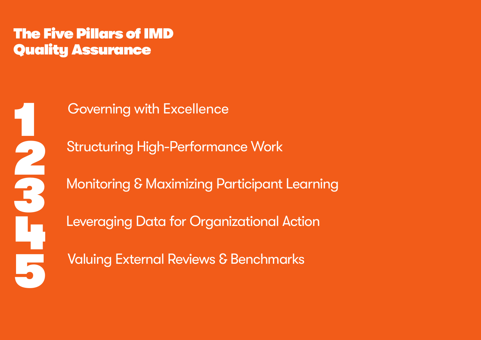Governing with Excellence

Structuring High-Performance Work Monitoring & Maximizing Participant Learning Leveraging Data for Organizational Action Valuing External Reviews & Benchmarks

The Five Pillars of IMD Quality Assurance

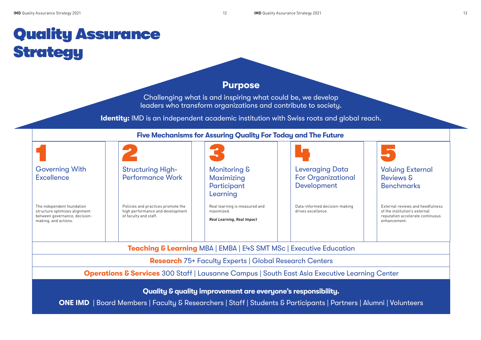### Quality Assurance **Strategy**

#### Valuing External Reviews & Benchmarks

|                                                                                                                      |                                                                                                                   | <b>Five Mechanisms for Assuring Quality For Today and The Future</b>             |                                                                    |                                               |
|----------------------------------------------------------------------------------------------------------------------|-------------------------------------------------------------------------------------------------------------------|----------------------------------------------------------------------------------|--------------------------------------------------------------------|-----------------------------------------------|
|                                                                                                                      |                                                                                                                   |                                                                                  |                                                                    |                                               |
| <b>Governing With</b><br><b>Excellence</b>                                                                           | <b>Structuring High-</b><br><b>Performance Work</b>                                                               | Monitoring &<br>Maximizing<br>Participant<br>Learning                            | <b>Leveraging Data</b><br><b>For Organizational</b><br>Development | Valui<br>Revie<br><b>Benc</b>                 |
| The independent foundation<br>structure optimizes alignment<br>between governance, decision-<br>making, and actions. | Policies and practices promote the<br>high performance and development<br>of faculty and staff.                   | Real learning is measured and<br>maximized.<br><b>Real Learning, Real Impact</b> | Data-informed decision-making<br>drives excellence.                | External<br>of the in<br>reputatio<br>enhance |
|                                                                                                                      |                                                                                                                   | <b>Teaching &amp; Learning MBA   EMBA   E4S SMT MSc   Executive Education</b>    |                                                                    |                                               |
|                                                                                                                      |                                                                                                                   | <b>Research</b> 75+ Faculty Experts   Global Research Centers                    |                                                                    |                                               |
|                                                                                                                      | <b>Operations &amp; Services</b> 300 Staff   Lausanne Campus   South East Asia Executive Learning Cente           |                                                                                  |                                                                    |                                               |
|                                                                                                                      |                                                                                                                   | Quality & quality improvement are everyone's responsibility.                     |                                                                    |                                               |
|                                                                                                                      | <b>ONE IMD</b>   Board Members   Faculty & Researchers   Staff   Students & Participants   Partners   Alumni   Vo |                                                                                  |                                                                    |                                               |

External reviews and heedfulness of the institution's external reputation accelerate continuous enhancement.

#### **Ing Center**

 $\textsf{I}$ umni | Volunteers

### Purpose

Challenging what is and inspiring what could be, we develop leaders who transform organizations and contribute to society.

Identity: IMD is an independent academic institution with Swiss roots and global reach.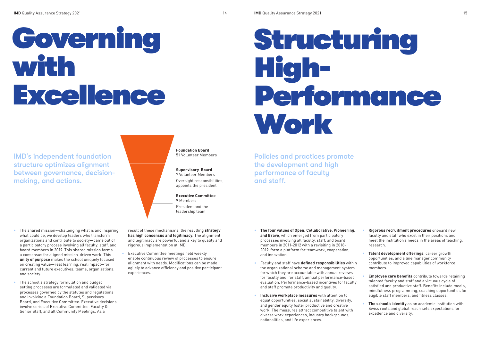# Governing with Excellence

- The shared mission--challenging what is and inspiring what could be, we develop leaders who transform organizations and contribute to society—came out of a participatory process involving all faculty, staff, and board members in 2019. This shared mission forms a consensus for aligned mission-driven work. This **unity of purpose** makes the school uniquely focused on creating value—real learning, real impact—for current and future executives, teams, organizations, and society.
- The school's strategy formulation and budget setting processes are formulated and validated via processes governed by the statutes and regulations and involving a Foundation Board, Supervisory Board, and Executive Committee. Executive decisions involve series of Executive Committee, Faculty & Senior Staff, and all Community Meetings. As a

## Structuring High-Performance Work

result of these mechanisms, the resulting **strategy has high consensus and legitimacy**. The alignment and legitimacy are powerful and a key to quality and rigorous implementation at IMD.

IMD's independent foundation structure optimizes alignment between governance, decisionmaking, and actions.



- Executive Committee meetings held weekly enable continuous review of processes to ensure alignment with needs. Modifications can be made agilely to advance efficiency and positive participant experiences.
- **The four values of Open, Collaborative, Pioneering, and Brave**, which emerged from participatory processes involving all faculty, staff, and board members in 2011-2012 with a revisiting in 2018- 2019, form a platform for teamwork, cooperation, and innovation.
- Faculty and staff have **defined responsibilities** within the organizational scheme and management system for which they are accountable with annual reviews for faculty and, for staff, annual performance-based evaluation. Performance-based incentives for faculty and staff promote productivity and quality.
- **Inclusive workplace measures** with attention to equal opportunities, social sustainability, diversity, and gender equity foster productive and creative work. The measures attract competitive talent with diverse work experiences, industry backgrounds, nationalities, and life experiences.
- **Rigorous recruitment procedures** onboard new faculty and staff who excel in their positions and meet the institution's needs in the areas of teaching, research.
- **Talent development offerings**, career growth opportunities, and a line manager community contribute to improved capabilities of workforce members.
- **Employee care benefits** contribute towards retaining talented faculty and staff and a virtuous cycle of satisfied and productive staff. Benefits include meals, mindfulness programming, coaching opportunities for eligible staff members, and fitness classes.
- **The school's identity** as an academic institution with Swiss roots and global reach sets expectations for excellence and diversity.

Policies and practices promote the development and high performance of faculty and staff.

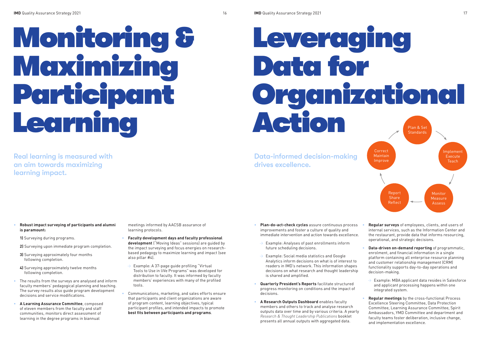- **Robust impact surveying of participants and alumni is paramount:**
- **1)** Surveying during programs.
- **2)** Surveying upon immediate program completion.
- **3)** Surveying approximately four months following completion.
- **4)** Surveying approximately twelve months following completion.
- The results from the surveys are analysed and inform faculty members' pedagogical planning and teaching. The survey results also guide program development decisions and service modifications.
- **A Learning Assurance Committee**, composed of eleven members from the faculty and staff communities, monitors direct assessment of learning in the degree programs in biannual

meetings informed by AACSB assurance of learning protocols.

- **Faculty development days and faculty professional development** ("Moving Ideas" sessions) are guided by the impact surveying and focus energies on researchbased pedagogy to maximize learning and impact (see also pillar #4).
- $\rightarrow$  Example: A 37-page guide profiling "Virtual Tools to Use in liVe Programs" was developed for distribution to faculty. It was informed by faculty members' experiences with many of the profiled tools.
- Communications, marketing, and sales efforts ensure that participants and client organizations are aware of program content, learning objectives, typical participant profiles, and intended impacts to promote **best fits between participants and programs**.

Real learning is measured with an aim towards maximizing learning impact.

# Monitoring & Maximizing Participant Learning

## Leveraging Data for Organizational Plan & Set

- **Plan-do-act-check cycles** assure continuous process improvements and foster a culture of quality and immediate intervention and action towards excellence. • **Regular surveys** of employees, clients, and users of internal services, such as the Information Center and the restaurant, provide data that informs resourcing, operational, and strategic decisions.
- Example: Analyses of past enrollments inform future scheduling decisions.
- $\rightarrow$  Example: Social media statistics and Google Analytics inform decisions on what is of interest to readers in IMD's network. This information shapes decisions on what research and thought leadership is shared and amplified.
- **Quarterly President's Reports** facilitate structured progress monitoring on conditions and the impact of decisions.
- **A Research Outputs Dashboard** enables faculty members and others to track and analyse research outputs data over time and by various criteria. A yearly *Research & Thought Leadership Publications* booklet presents all annual outputs with aggregated data. • **Regular meetings** by the cross-functional Process Excellence Steering Committee, Data Protection Committee, Learning Assurance Committee, Spirit Ambassadors, YMD Committee and department and faculty teams foster deliberation, inclusive change, and implementation excellence.
- **Data-driven on-demand reporting** of programmatic, enrolment, and financial information in a single platform containing all enterprise resource planning and customer relationship management (CRM) functionality supports day-to-day operations and decision-making.
- Example: MBA applicant data resides in Salesforce and applicant processing happens within one integrated system.

Data-informed decision-making drives excellence.

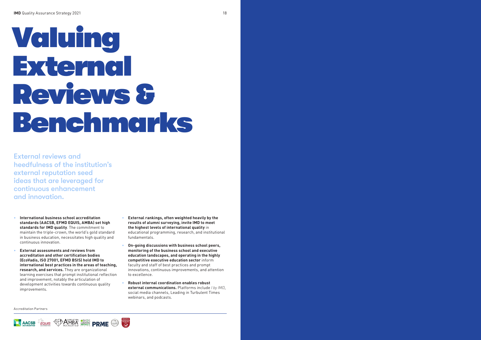- **International business school accreditation standards (AACSB, EFMD EQUIS, AMBA) set high standards for IMD quality**. The commitment to maintain the triple-crown, the world's gold standard in business education, necessitates high quality and continuous innovation.
- **External assessments and reviews from accreditation and other certification bodies (EcoVadis, ISO 27001, EFMD BSIS) hold IMD to international best practices in the areas of teaching, research, and services.** They are organizational learning exercises that prompt institutional reflection and improvement, notably the articulation of development activities towards continuous quality improvements.
- **External rankings, often weighted heavily by the results of alumni surveying, invite IMD to meet the highest levels of international quality** in educational programming, research, and institutional fundamentals.
- **On-going discussions with business school peers, monitoring of the business school and executive education landscapes, and operating in the highly competitive executive education sector** inform faculty and staff of best practices and prompt innovations, continuous improvements, and attention to excellence.
- **Robust internal coordination enables robust external communications.** Platforms include *I by IMD*, social media channels, Leading in Turbulent Times webinars, and podcasts.

External reviews and heedfulness of the institution's external reputation seed ideas that are leveraged for continuous enhancement and innovation.

# Valuing External Reviews & Benchmarks

Accreditation Partners